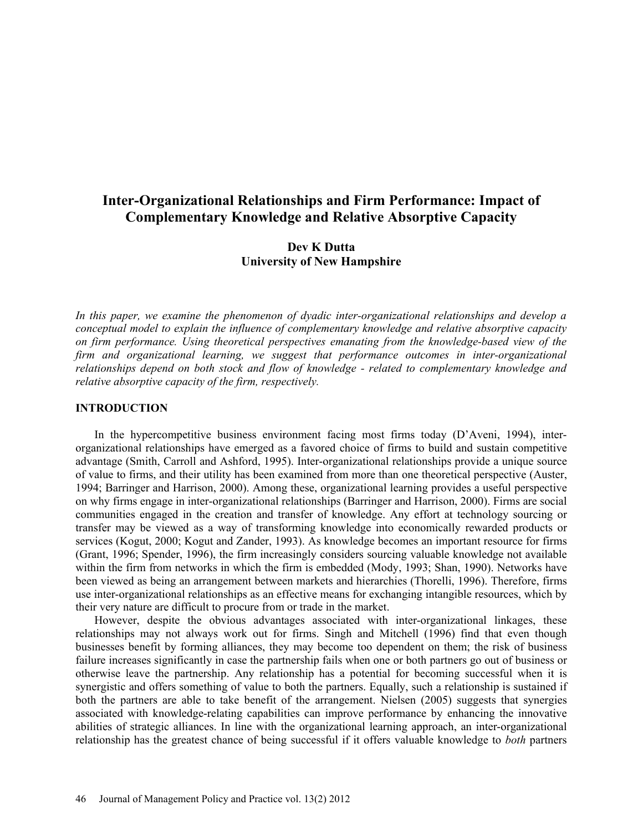# **Inter-Organizational Relationships and Firm Performance: Impact of Complementary Knowledge and Relative Absorptive Capacity**

## **Dev K Dutta University of New Hampshire**

*In this paper, we examine the phenomenon of dyadic inter-organizational relationships and develop a conceptual model to explain the influence of complementary knowledge and relative absorptive capacity on firm performance. Using theoretical perspectives emanating from the knowledge-based view of the*  firm and organizational learning, we suggest that performance outcomes in inter-organizational *relationships depend on both stock and flow of knowledge - related to complementary knowledge and relative absorptive capacity of the firm, respectively.* 

#### **INTRODUCTION**

In the hypercompetitive business environment facing most firms today (D'Aveni, 1994), interorganizational relationships have emerged as a favored choice of firms to build and sustain competitive advantage (Smith, Carroll and Ashford, 1995). Inter-organizational relationships provide a unique source of value to firms, and their utility has been examined from more than one theoretical perspective (Auster, 1994; Barringer and Harrison, 2000). Among these, organizational learning provides a useful perspective on why firms engage in inter-organizational relationships (Barringer and Harrison, 2000). Firms are social communities engaged in the creation and transfer of knowledge. Any effort at technology sourcing or transfer may be viewed as a way of transforming knowledge into economically rewarded products or services (Kogut, 2000; Kogut and Zander, 1993). As knowledge becomes an important resource for firms (Grant, 1996; Spender, 1996), the firm increasingly considers sourcing valuable knowledge not available within the firm from networks in which the firm is embedded (Mody, 1993; Shan, 1990). Networks have been viewed as being an arrangement between markets and hierarchies (Thorelli, 1996). Therefore, firms use inter-organizational relationships as an effective means for exchanging intangible resources, which by their very nature are difficult to procure from or trade in the market.

However, despite the obvious advantages associated with inter-organizational linkages, these relationships may not always work out for firms. Singh and Mitchell (1996) find that even though businesses benefit by forming alliances, they may become too dependent on them; the risk of business failure increases significantly in case the partnership fails when one or both partners go out of business or otherwise leave the partnership. Any relationship has a potential for becoming successful when it is synergistic and offers something of value to both the partners. Equally, such a relationship is sustained if both the partners are able to take benefit of the arrangement. Nielsen (2005) suggests that synergies associated with knowledge-relating capabilities can improve performance by enhancing the innovative abilities of strategic alliances. In line with the organizational learning approach, an inter-organizational relationship has the greatest chance of being successful if it offers valuable knowledge to *both* partners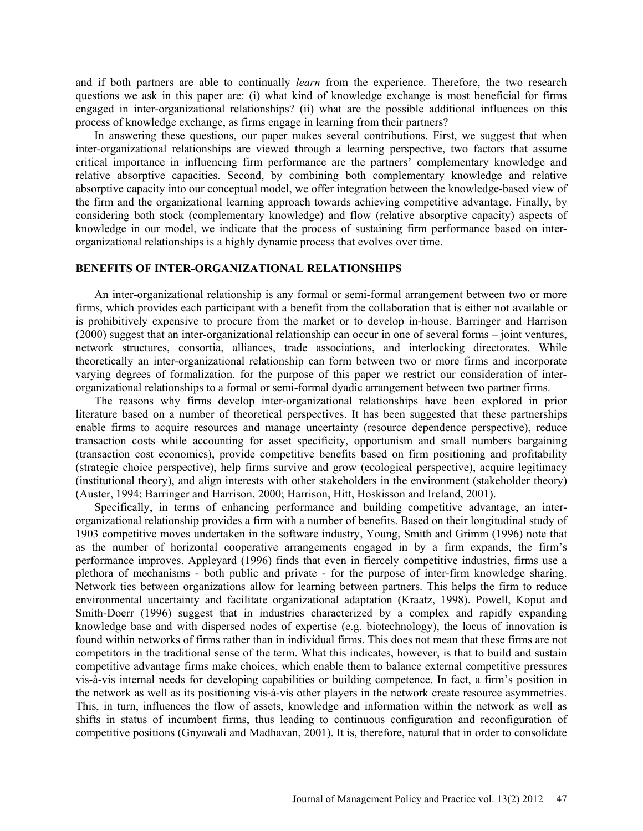and if both partners are able to continually *learn* from the experience. Therefore, the two research questions we ask in this paper are: (i) what kind of knowledge exchange is most beneficial for firms engaged in inter-organizational relationships? (ii) what are the possible additional influences on this process of knowledge exchange, as firms engage in learning from their partners?

In answering these questions, our paper makes several contributions. First, we suggest that when inter-organizational relationships are viewed through a learning perspective, two factors that assume critical importance in influencing firm performance are the partners' complementary knowledge and relative absorptive capacities. Second, by combining both complementary knowledge and relative absorptive capacity into our conceptual model, we offer integration between the knowledge-based view of the firm and the organizational learning approach towards achieving competitive advantage. Finally, by considering both stock (complementary knowledge) and flow (relative absorptive capacity) aspects of knowledge in our model, we indicate that the process of sustaining firm performance based on interorganizational relationships is a highly dynamic process that evolves over time.

### **BENEFITS OF INTER-ORGANIZATIONAL RELATIONSHIPS**

An inter-organizational relationship is any formal or semi-formal arrangement between two or more firms, which provides each participant with a benefit from the collaboration that is either not available or is prohibitively expensive to procure from the market or to develop in-house. Barringer and Harrison (2000) suggest that an inter-organizational relationship can occur in one of several forms – joint ventures, network structures, consortia, alliances, trade associations, and interlocking directorates. While theoretically an inter-organizational relationship can form between two or more firms and incorporate varying degrees of formalization, for the purpose of this paper we restrict our consideration of interorganizational relationships to a formal or semi-formal dyadic arrangement between two partner firms.

The reasons why firms develop inter-organizational relationships have been explored in prior literature based on a number of theoretical perspectives. It has been suggested that these partnerships enable firms to acquire resources and manage uncertainty (resource dependence perspective), reduce transaction costs while accounting for asset specificity, opportunism and small numbers bargaining (transaction cost economics), provide competitive benefits based on firm positioning and profitability (strategic choice perspective), help firms survive and grow (ecological perspective), acquire legitimacy (institutional theory), and align interests with other stakeholders in the environment (stakeholder theory) (Auster, 1994; Barringer and Harrison, 2000; Harrison, Hitt, Hoskisson and Ireland, 2001).

Specifically, in terms of enhancing performance and building competitive advantage, an interorganizational relationship provides a firm with a number of benefits. Based on their longitudinal study of 1903 competitive moves undertaken in the software industry, Young, Smith and Grimm (1996) note that as the number of horizontal cooperative arrangements engaged in by a firm expands, the firm's performance improves. Appleyard (1996) finds that even in fiercely competitive industries, firms use a plethora of mechanisms - both public and private - for the purpose of inter-firm knowledge sharing. Network ties between organizations allow for learning between partners. This helps the firm to reduce environmental uncertainty and facilitate organizational adaptation (Kraatz, 1998). Powell, Koput and Smith-Doerr (1996) suggest that in industries characterized by a complex and rapidly expanding knowledge base and with dispersed nodes of expertise (e.g. biotechnology), the locus of innovation is found within networks of firms rather than in individual firms. This does not mean that these firms are not competitors in the traditional sense of the term. What this indicates, however, is that to build and sustain competitive advantage firms make choices, which enable them to balance external competitive pressures vis-à-vis internal needs for developing capabilities or building competence. In fact, a firm's position in the network as well as its positioning vis-à-vis other players in the network create resource asymmetries. This, in turn, influences the flow of assets, knowledge and information within the network as well as shifts in status of incumbent firms, thus leading to continuous configuration and reconfiguration of competitive positions (Gnyawali and Madhavan, 2001). It is, therefore, natural that in order to consolidate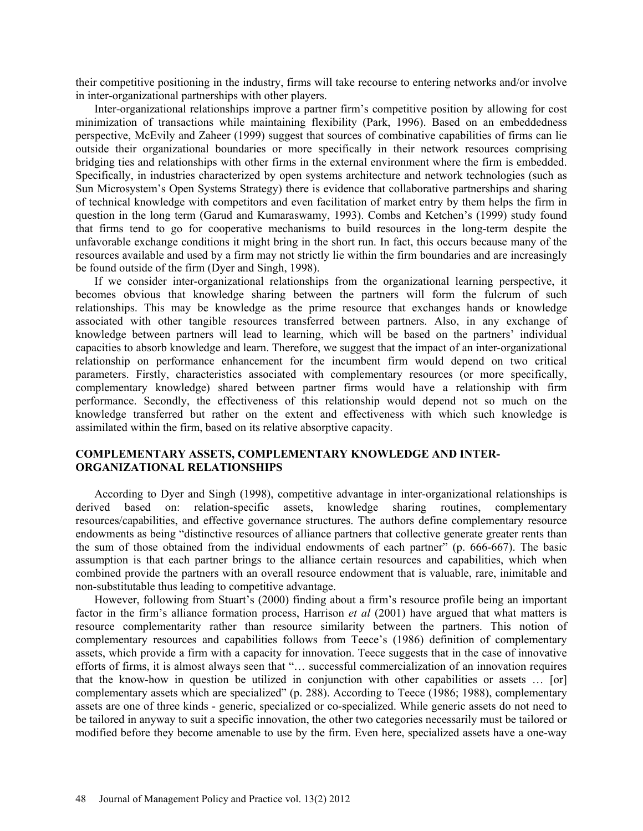their competitive positioning in the industry, firms will take recourse to entering networks and/or involve in inter-organizational partnerships with other players.

Inter-organizational relationships improve a partner firm's competitive position by allowing for cost minimization of transactions while maintaining flexibility (Park, 1996). Based on an embeddedness perspective, McEvily and Zaheer (1999) suggest that sources of combinative capabilities of firms can lie outside their organizational boundaries or more specifically in their network resources comprising bridging ties and relationships with other firms in the external environment where the firm is embedded. Specifically, in industries characterized by open systems architecture and network technologies (such as Sun Microsystem's Open Systems Strategy) there is evidence that collaborative partnerships and sharing of technical knowledge with competitors and even facilitation of market entry by them helps the firm in question in the long term (Garud and Kumaraswamy, 1993). Combs and Ketchen's (1999) study found that firms tend to go for cooperative mechanisms to build resources in the long-term despite the unfavorable exchange conditions it might bring in the short run. In fact, this occurs because many of the resources available and used by a firm may not strictly lie within the firm boundaries and are increasingly be found outside of the firm (Dyer and Singh, 1998).

If we consider inter-organizational relationships from the organizational learning perspective, it becomes obvious that knowledge sharing between the partners will form the fulcrum of such relationships. This may be knowledge as the prime resource that exchanges hands or knowledge associated with other tangible resources transferred between partners. Also, in any exchange of knowledge between partners will lead to learning, which will be based on the partners' individual capacities to absorb knowledge and learn. Therefore, we suggest that the impact of an inter-organizational relationship on performance enhancement for the incumbent firm would depend on two critical parameters. Firstly, characteristics associated with complementary resources (or more specifically, complementary knowledge) shared between partner firms would have a relationship with firm performance. Secondly, the effectiveness of this relationship would depend not so much on the knowledge transferred but rather on the extent and effectiveness with which such knowledge is assimilated within the firm, based on its relative absorptive capacity.

### **COMPLEMENTARY ASSETS, COMPLEMENTARY KNOWLEDGE AND INTER-ORGANIZATIONAL RELATIONSHIPS**

According to Dyer and Singh (1998), competitive advantage in inter-organizational relationships is derived based on: relation-specific assets, knowledge sharing routines, complementary resources/capabilities, and effective governance structures. The authors define complementary resource endowments as being "distinctive resources of alliance partners that collective generate greater rents than the sum of those obtained from the individual endowments of each partner" (p. 666-667). The basic assumption is that each partner brings to the alliance certain resources and capabilities, which when combined provide the partners with an overall resource endowment that is valuable, rare, inimitable and non-substitutable thus leading to competitive advantage.

However, following from Stuart's (2000) finding about a firm's resource profile being an important factor in the firm's alliance formation process, Harrison *et al* (2001) have argued that what matters is resource complementarity rather than resource similarity between the partners. This notion of complementary resources and capabilities follows from Teece's (1986) definition of complementary assets, which provide a firm with a capacity for innovation. Teece suggests that in the case of innovative efforts of firms, it is almost always seen that "… successful commercialization of an innovation requires that the know-how in question be utilized in conjunction with other capabilities or assets … [or] complementary assets which are specialized" (p. 288). According to Teece (1986; 1988), complementary assets are one of three kinds - generic, specialized or co-specialized. While generic assets do not need to be tailored in anyway to suit a specific innovation, the other two categories necessarily must be tailored or modified before they become amenable to use by the firm. Even here, specialized assets have a one-way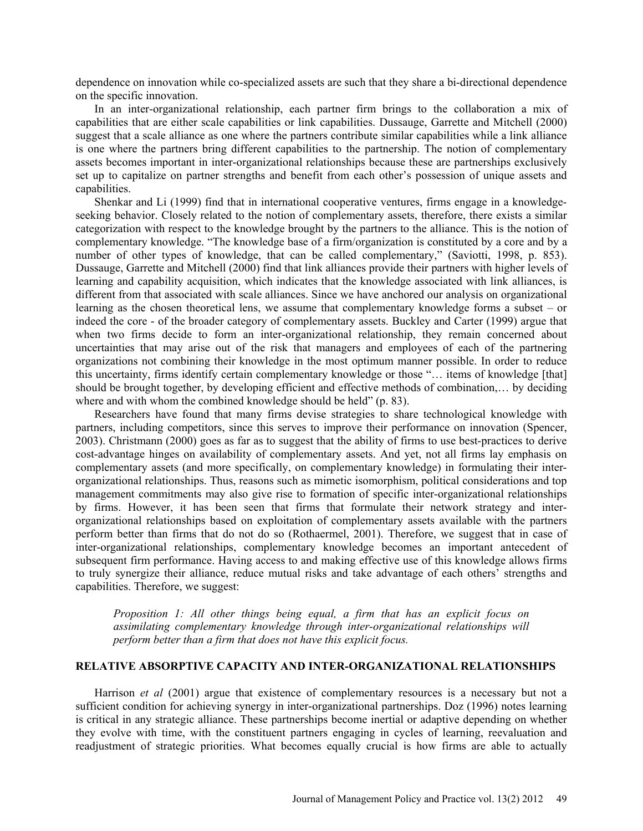dependence on innovation while co-specialized assets are such that they share a bi-directional dependence on the specific innovation.

In an inter-organizational relationship, each partner firm brings to the collaboration a mix of capabilities that are either scale capabilities or link capabilities. Dussauge, Garrette and Mitchell (2000) suggest that a scale alliance as one where the partners contribute similar capabilities while a link alliance is one where the partners bring different capabilities to the partnership. The notion of complementary assets becomes important in inter-organizational relationships because these are partnerships exclusively set up to capitalize on partner strengths and benefit from each other's possession of unique assets and capabilities.

Shenkar and Li (1999) find that in international cooperative ventures, firms engage in a knowledgeseeking behavior. Closely related to the notion of complementary assets, therefore, there exists a similar categorization with respect to the knowledge brought by the partners to the alliance. This is the notion of complementary knowledge. "The knowledge base of a firm/organization is constituted by a core and by a number of other types of knowledge, that can be called complementary," (Saviotti, 1998, p. 853). Dussauge, Garrette and Mitchell (2000) find that link alliances provide their partners with higher levels of learning and capability acquisition, which indicates that the knowledge associated with link alliances, is different from that associated with scale alliances. Since we have anchored our analysis on organizational learning as the chosen theoretical lens, we assume that complementary knowledge forms a subset – or indeed the core - of the broader category of complementary assets. Buckley and Carter (1999) argue that when two firms decide to form an inter-organizational relationship, they remain concerned about uncertainties that may arise out of the risk that managers and employees of each of the partnering organizations not combining their knowledge in the most optimum manner possible. In order to reduce this uncertainty, firms identify certain complementary knowledge or those "… items of knowledge [that] should be brought together, by developing efficient and effective methods of combination,… by deciding where and with whom the combined knowledge should be held" (p. 83).

Researchers have found that many firms devise strategies to share technological knowledge with partners, including competitors, since this serves to improve their performance on innovation (Spencer, 2003). Christmann (2000) goes as far as to suggest that the ability of firms to use best-practices to derive cost-advantage hinges on availability of complementary assets. And yet, not all firms lay emphasis on complementary assets (and more specifically, on complementary knowledge) in formulating their interorganizational relationships. Thus, reasons such as mimetic isomorphism, political considerations and top management commitments may also give rise to formation of specific inter-organizational relationships by firms. However, it has been seen that firms that formulate their network strategy and interorganizational relationships based on exploitation of complementary assets available with the partners perform better than firms that do not do so (Rothaermel, 2001). Therefore, we suggest that in case of inter-organizational relationships, complementary knowledge becomes an important antecedent of subsequent firm performance. Having access to and making effective use of this knowledge allows firms to truly synergize their alliance, reduce mutual risks and take advantage of each others' strengths and capabilities. Therefore, we suggest:

*Proposition 1: All other things being equal, a firm that has an explicit focus on assimilating complementary knowledge through inter-organizational relationships will perform better than a firm that does not have this explicit focus.*

### **RELATIVE ABSORPTIVE CAPACITY AND INTER-ORGANIZATIONAL RELATIONSHIPS**

Harrison *et al* (2001) argue that existence of complementary resources is a necessary but not a sufficient condition for achieving synergy in inter-organizational partnerships. Doz (1996) notes learning is critical in any strategic alliance. These partnerships become inertial or adaptive depending on whether they evolve with time, with the constituent partners engaging in cycles of learning, reevaluation and readjustment of strategic priorities. What becomes equally crucial is how firms are able to actually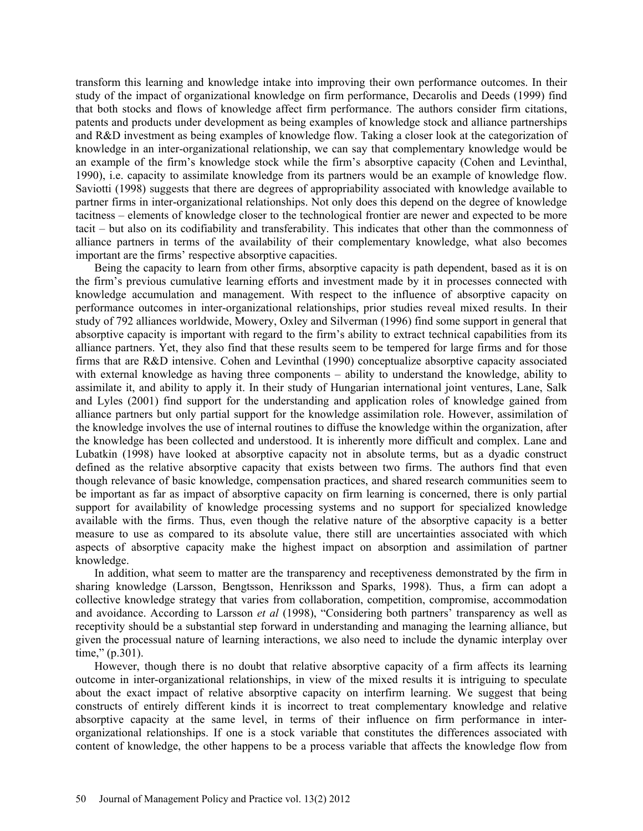transform this learning and knowledge intake into improving their own performance outcomes. In their study of the impact of organizational knowledge on firm performance, Decarolis and Deeds (1999) find that both stocks and flows of knowledge affect firm performance. The authors consider firm citations, patents and products under development as being examples of knowledge stock and alliance partnerships and R&D investment as being examples of knowledge flow. Taking a closer look at the categorization of knowledge in an inter-organizational relationship, we can say that complementary knowledge would be an example of the firm's knowledge stock while the firm's absorptive capacity (Cohen and Levinthal, 1990), i.e. capacity to assimilate knowledge from its partners would be an example of knowledge flow. Saviotti (1998) suggests that there are degrees of appropriability associated with knowledge available to partner firms in inter-organizational relationships. Not only does this depend on the degree of knowledge tacitness – elements of knowledge closer to the technological frontier are newer and expected to be more tacit – but also on its codifiability and transferability. This indicates that other than the commonness of alliance partners in terms of the availability of their complementary knowledge, what also becomes important are the firms' respective absorptive capacities.

Being the capacity to learn from other firms, absorptive capacity is path dependent, based as it is on the firm's previous cumulative learning efforts and investment made by it in processes connected with knowledge accumulation and management. With respect to the influence of absorptive capacity on performance outcomes in inter-organizational relationships, prior studies reveal mixed results. In their study of 792 alliances worldwide, Mowery, Oxley and Silverman (1996) find some support in general that absorptive capacity is important with regard to the firm's ability to extract technical capabilities from its alliance partners. Yet, they also find that these results seem to be tempered for large firms and for those firms that are R&D intensive. Cohen and Levinthal (1990) conceptualize absorptive capacity associated with external knowledge as having three components – ability to understand the knowledge, ability to assimilate it, and ability to apply it. In their study of Hungarian international joint ventures, Lane, Salk and Lyles (2001) find support for the understanding and application roles of knowledge gained from alliance partners but only partial support for the knowledge assimilation role. However, assimilation of the knowledge involves the use of internal routines to diffuse the knowledge within the organization, after the knowledge has been collected and understood. It is inherently more difficult and complex. Lane and Lubatkin (1998) have looked at absorptive capacity not in absolute terms, but as a dyadic construct defined as the relative absorptive capacity that exists between two firms. The authors find that even though relevance of basic knowledge, compensation practices, and shared research communities seem to be important as far as impact of absorptive capacity on firm learning is concerned, there is only partial support for availability of knowledge processing systems and no support for specialized knowledge available with the firms. Thus, even though the relative nature of the absorptive capacity is a better measure to use as compared to its absolute value, there still are uncertainties associated with which aspects of absorptive capacity make the highest impact on absorption and assimilation of partner knowledge.

In addition, what seem to matter are the transparency and receptiveness demonstrated by the firm in sharing knowledge (Larsson, Bengtsson, Henriksson and Sparks, 1998). Thus, a firm can adopt a collective knowledge strategy that varies from collaboration, competition, compromise, accommodation and avoidance. According to Larsson *et al* (1998), "Considering both partners' transparency as well as receptivity should be a substantial step forward in understanding and managing the learning alliance, but given the processual nature of learning interactions, we also need to include the dynamic interplay over time," (p.301).

However, though there is no doubt that relative absorptive capacity of a firm affects its learning outcome in inter-organizational relationships, in view of the mixed results it is intriguing to speculate about the exact impact of relative absorptive capacity on interfirm learning. We suggest that being constructs of entirely different kinds it is incorrect to treat complementary knowledge and relative absorptive capacity at the same level, in terms of their influence on firm performance in interorganizational relationships. If one is a stock variable that constitutes the differences associated with content of knowledge, the other happens to be a process variable that affects the knowledge flow from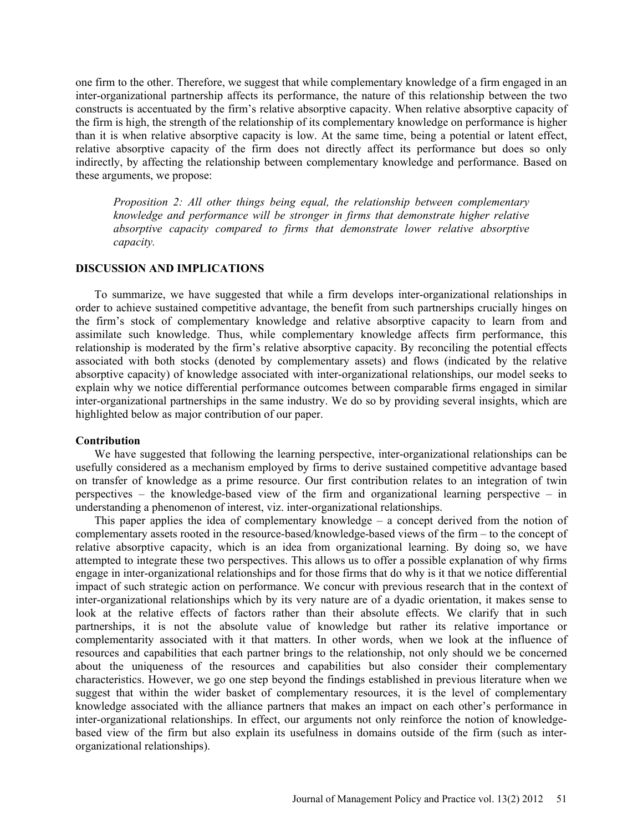one firm to the other. Therefore, we suggest that while complementary knowledge of a firm engaged in an inter-organizational partnership affects its performance, the nature of this relationship between the two constructs is accentuated by the firm's relative absorptive capacity. When relative absorptive capacity of the firm is high, the strength of the relationship of its complementary knowledge on performance is higher than it is when relative absorptive capacity is low. At the same time, being a potential or latent effect, relative absorptive capacity of the firm does not directly affect its performance but does so only indirectly, by affecting the relationship between complementary knowledge and performance. Based on these arguments, we propose:

*Proposition 2: All other things being equal, the relationship between complementary knowledge and performance will be stronger in firms that demonstrate higher relative absorptive capacity compared to firms that demonstrate lower relative absorptive capacity.*

### **DISCUSSION AND IMPLICATIONS**

To summarize, we have suggested that while a firm develops inter-organizational relationships in order to achieve sustained competitive advantage, the benefit from such partnerships crucially hinges on the firm's stock of complementary knowledge and relative absorptive capacity to learn from and assimilate such knowledge. Thus, while complementary knowledge affects firm performance, this relationship is moderated by the firm's relative absorptive capacity. By reconciling the potential effects associated with both stocks (denoted by complementary assets) and flows (indicated by the relative absorptive capacity) of knowledge associated with inter-organizational relationships, our model seeks to explain why we notice differential performance outcomes between comparable firms engaged in similar inter-organizational partnerships in the same industry. We do so by providing several insights, which are highlighted below as major contribution of our paper.

### **Contribution**

We have suggested that following the learning perspective, inter-organizational relationships can be usefully considered as a mechanism employed by firms to derive sustained competitive advantage based on transfer of knowledge as a prime resource. Our first contribution relates to an integration of twin perspectives – the knowledge-based view of the firm and organizational learning perspective – in understanding a phenomenon of interest, viz. inter-organizational relationships.

This paper applies the idea of complementary knowledge – a concept derived from the notion of complementary assets rooted in the resource-based/knowledge-based views of the firm – to the concept of relative absorptive capacity, which is an idea from organizational learning. By doing so, we have attempted to integrate these two perspectives. This allows us to offer a possible explanation of why firms engage in inter-organizational relationships and for those firms that do why is it that we notice differential impact of such strategic action on performance. We concur with previous research that in the context of inter-organizational relationships which by its very nature are of a dyadic orientation, it makes sense to look at the relative effects of factors rather than their absolute effects. We clarify that in such partnerships, it is not the absolute value of knowledge but rather its relative importance or complementarity associated with it that matters. In other words, when we look at the influence of resources and capabilities that each partner brings to the relationship, not only should we be concerned about the uniqueness of the resources and capabilities but also consider their complementary characteristics. However, we go one step beyond the findings established in previous literature when we suggest that within the wider basket of complementary resources, it is the level of complementary knowledge associated with the alliance partners that makes an impact on each other's performance in inter-organizational relationships. In effect, our arguments not only reinforce the notion of knowledgebased view of the firm but also explain its usefulness in domains outside of the firm (such as interorganizational relationships).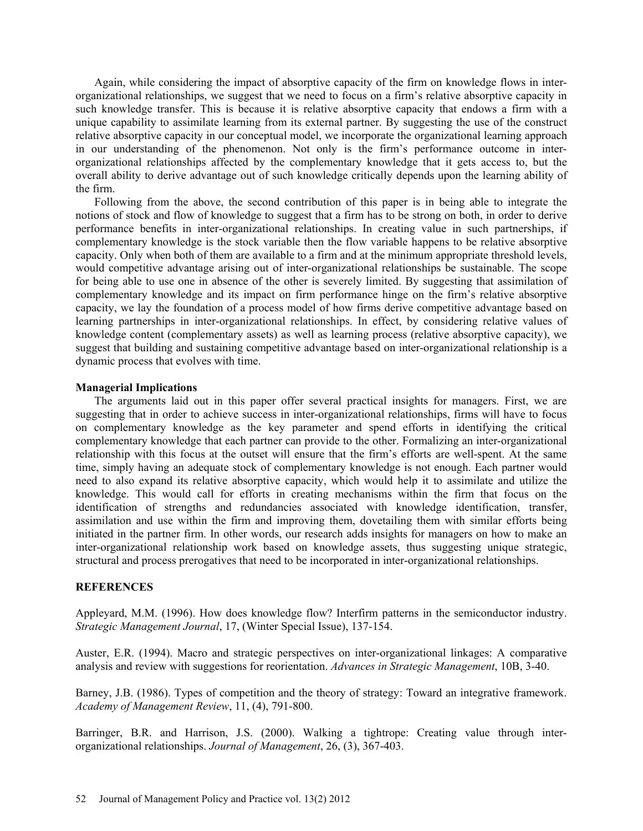Again, while considering the impact of absorptive capacity of the firm on knowledge flows in interorganizational relationships, we suggest that we need to focus on a firm's relative absorptive capacity in such knowledge transfer. This is because it is relative absorptive capacity that endows a firm with a unique capability to assimilate learning from its external partner. By suggesting the use of the construct relative absorptive capacity in our conceptual model, we incorporate the organizational learning approach in our understanding of the phenomenon. Not only is the firm's performance outcome in interorganizational relationships affected by the complementary knowledge that it gets access to, but the overall ability to derive advantage out of such knowledge critically depends upon the learning ability of the firm.

Following from the above, the second contribution of this paper is in being able to integrate the notions of stock and flow of knowledge to suggest that a firm has to be strong on both, in order to derive performance benefits in inter-organizational relationships. In creating value in such partnerships, if complementary knowledge is the stock variable then the flow variable happens to be relative absorptive capacity. Only when both of them are available to a firm and at the minimum appropriate threshold levels, would competitive advantage arising out of inter-organizational relationships be sustainable. The scope for being able to use one in absence of the other is severely limited. By suggesting that assimilation of complementary knowledge and its impact on firm performance hinge on the firm's relative absorptive capacity, we lay the foundation of a process model of how firms derive competitive advantage based on learning partnerships in inter-organizational relationships. In effect, by considering relative values of knowledge content (complementary assets) as well as learning process (relative absorptive capacity), we suggest that building and sustaining competitive advantage based on inter-organizational relationship is a dynamic process that evolves with time.

### **Managerial Implications**

The arguments laid out in this paper offer several practical insights for managers. First, we are suggesting that in order to achieve success in inter-organizational relationships, firms will have to focus on complementary knowledge as the key parameter and spend efforts in identifying the critical complementary knowledge that each partner can provide to the other. Formalizing an inter-organizational relationship with this focus at the outset will ensure that the firm's efforts are well-spent. At the same time, simply having an adequate stock of complementary knowledge is not enough. Each partner would need to also expand its relative absorptive capacity, which would help it to assimilate and utilize the knowledge. This would call for efforts in creating mechanisms within the firm that focus on the identification of strengths and redundancies associated with knowledge identification, transfer, assimilation and use within the firm and improving them, dovetailing them with similar efforts being initiated in the partner firm. In other words, our research adds insights for managers on how to make an inter-organizational relationship work based on knowledge assets, thus suggesting unique strategic, structural and process prerogatives that need to be incorporated in inter-organizational relationships.

### **REFERENCES**

Appleyard, M.M. (1996). How does knowledge flow? Interfirm patterns in the semiconductor industry. *Strategic Management Journal*, 17, (Winter Special Issue), 137-154.

Auster, E.R. (1994). Macro and strategic perspectives on inter-organizational linkages: A comparative analysis and review with suggestions for reorientation. *Advances in Strategic Management*, 10B, 3-40.

Barney, J.B. (1986). Types of competition and the theory of strategy: Toward an integrative framework. *Academy of Management Review*, 11, (4), 791-800.

Barringer, B.R. and Harrison, J.S. (2000). Walking a tightrope: Creating value through interorganizational relationships. *Journal of Management*, 26, (3), 367-403.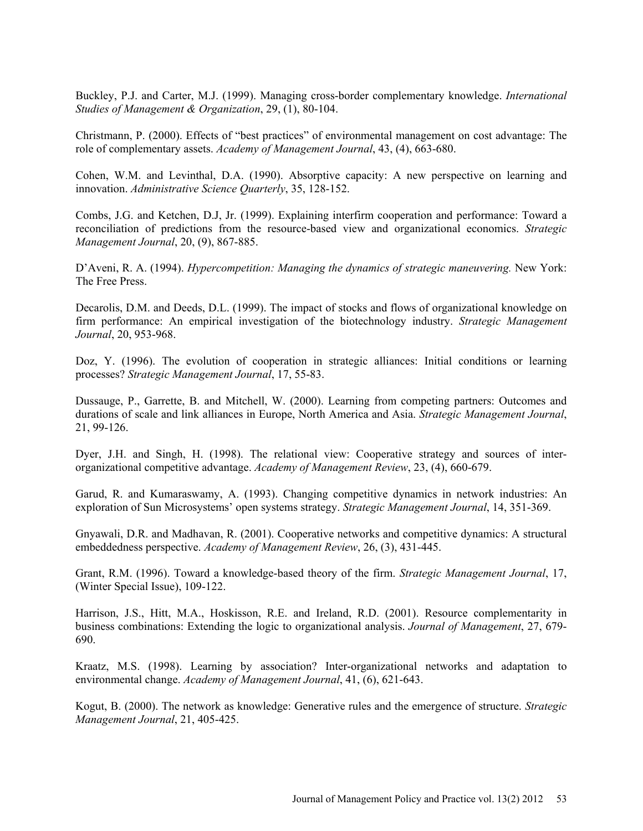Buckley, P.J. and Carter, M.J. (1999). Managing cross-border complementary knowledge. *International Studies of Management & Organization*, 29, (1), 80-104.

Christmann, P. (2000). Effects of "best practices" of environmental management on cost advantage: The role of complementary assets. *Academy of Management Journal*, 43, (4), 663-680.

Cohen, W.M. and Levinthal, D.A. (1990). Absorptive capacity: A new perspective on learning and innovation. *Administrative Science Quarterly*, 35, 128-152.

Combs, J.G. and Ketchen, D.J, Jr. (1999). Explaining interfirm cooperation and performance: Toward a reconciliation of predictions from the resource-based view and organizational economics. *Strategic Management Journal*, 20, (9), 867-885.

D'Aveni, R. A. (1994). *Hypercompetition: Managing the dynamics of strategic maneuvering.* New York: The Free Press.

Decarolis, D.M. and Deeds, D.L. (1999). The impact of stocks and flows of organizational knowledge on firm performance: An empirical investigation of the biotechnology industry. *Strategic Management Journal*, 20, 953-968.

Doz, Y. (1996). The evolution of cooperation in strategic alliances: Initial conditions or learning processes? *Strategic Management Journal*, 17, 55-83.

Dussauge, P., Garrette, B. and Mitchell, W. (2000). Learning from competing partners: Outcomes and durations of scale and link alliances in Europe, North America and Asia. *Strategic Management Journal*, 21, 99-126.

Dyer, J.H. and Singh, H. (1998). The relational view: Cooperative strategy and sources of interorganizational competitive advantage. *Academy of Management Review*, 23, (4), 660-679.

Garud, R. and Kumaraswamy, A. (1993). Changing competitive dynamics in network industries: An exploration of Sun Microsystems' open systems strategy. *Strategic Management Journal*, 14, 351-369.

Gnyawali, D.R. and Madhavan, R. (2001). Cooperative networks and competitive dynamics: A structural embeddedness perspective. *Academy of Management Review*, 26, (3), 431-445.

Grant, R.M. (1996). Toward a knowledge-based theory of the firm. *Strategic Management Journal*, 17, (Winter Special Issue), 109-122.

Harrison, J.S., Hitt, M.A., Hoskisson, R.E. and Ireland, R.D. (2001). Resource complementarity in business combinations: Extending the logic to organizational analysis. *Journal of Management*, 27, 679- 690.

Kraatz, M.S. (1998). Learning by association? Inter-organizational networks and adaptation to environmental change. *Academy of Management Journal*, 41, (6), 621-643.

Kogut, B. (2000). The network as knowledge: Generative rules and the emergence of structure. *Strategic Management Journal*, 21, 405-425.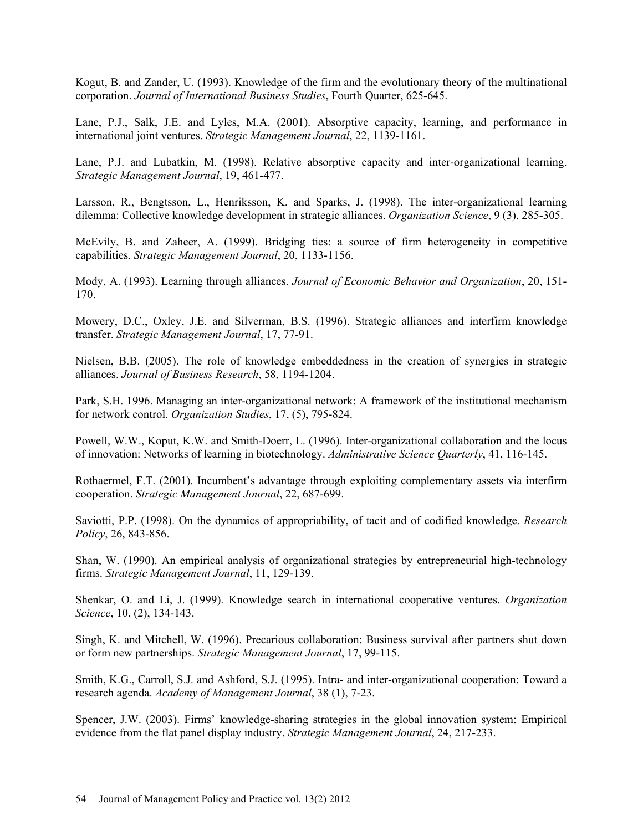Kogut, B. and Zander, U. (1993). Knowledge of the firm and the evolutionary theory of the multinational corporation. *Journal of International Business Studies*, Fourth Quarter, 625-645.

Lane, P.J., Salk, J.E. and Lyles, M.A. (2001). Absorptive capacity, learning, and performance in international joint ventures. *Strategic Management Journal*, 22, 1139-1161.

Lane, P.J. and Lubatkin, M. (1998). Relative absorptive capacity and inter-organizational learning. *Strategic Management Journal*, 19, 461-477.

Larsson, R., Bengtsson, L., Henriksson, K. and Sparks, J. (1998). The inter-organizational learning dilemma: Collective knowledge development in strategic alliances. *Organization Science*, 9 (3), 285-305.

McEvily, B. and Zaheer, A. (1999). Bridging ties: a source of firm heterogeneity in competitive capabilities. *Strategic Management Journal*, 20, 1133-1156.

Mody, A. (1993). Learning through alliances. *Journal of Economic Behavior and Organization*, 20, 151- 170.

Mowery, D.C., Oxley, J.E. and Silverman, B.S. (1996). Strategic alliances and interfirm knowledge transfer. *Strategic Management Journal*, 17, 77-91.

Nielsen, B.B. (2005). The role of knowledge embeddedness in the creation of synergies in strategic alliances. *Journal of Business Research*, 58, 1194-1204.

Park, S.H. 1996. Managing an inter-organizational network: A framework of the institutional mechanism for network control. *Organization Studies*, 17, (5), 795-824.

Powell, W.W., Koput, K.W. and Smith-Doerr, L. (1996). Inter-organizational collaboration and the locus of innovation: Networks of learning in biotechnology. *Administrative Science Quarterly*, 41, 116-145.

Rothaermel, F.T. (2001). Incumbent's advantage through exploiting complementary assets via interfirm cooperation. *Strategic Management Journal*, 22, 687-699.

Saviotti, P.P. (1998). On the dynamics of appropriability, of tacit and of codified knowledge. *Research Policy*, 26, 843-856.

Shan, W. (1990). An empirical analysis of organizational strategies by entrepreneurial high-technology firms. *Strategic Management Journal*, 11, 129-139.

Shenkar, O. and Li, J. (1999). Knowledge search in international cooperative ventures. *Organization Science*, 10, (2), 134-143.

Singh, K. and Mitchell, W. (1996). Precarious collaboration: Business survival after partners shut down or form new partnerships. *Strategic Management Journal*, 17, 99-115.

Smith, K.G., Carroll, S.J. and Ashford, S.J. (1995). Intra- and inter-organizational cooperation: Toward a research agenda. *Academy of Management Journal*, 38 (1), 7-23.

Spencer, J.W. (2003). Firms' knowledge-sharing strategies in the global innovation system: Empirical evidence from the flat panel display industry. *Strategic Management Journal*, 24, 217-233.